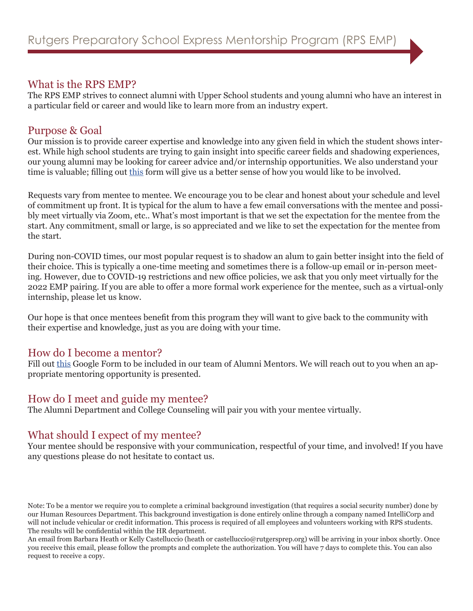# What is the RPS EMP?

The RPS EMP strives to connect alumni with Upper School students and young alumni who have an interest in a particular field or career and would like to learn more from an industry expert.

# Purpose & Goal

Our mission is to provide career expertise and knowledge into any given field in which the student shows interest. While high school students are trying to gain insight into specific career fields and shadowing experiences, our young alumni may be looking for career advice and/or internship opportunities. We also understand your time is valuable; filling out [this](http://www.rutgersprep.org/mentorform
) form will give us a better sense of how you would like to be involved.

Requests vary from mentee to mentee. We encourage you to be clear and honest about your schedule and level of commitment up front. It is typical for the alum to have a few email conversations with the mentee and possibly meet virtually via Zoom, etc.. What's most important is that we set the expectation for the mentee from the start. Any commitment, small or large, is so appreciated and we like to set the expectation for the mentee from the start.

During non-COVID times, our most popular request is to shadow an alum to gain better insight into the field of their choice. This is typically a one-time meeting and sometimes there is a follow-up email or in-person meeting. However, due to COVID-19 restrictions and new office policies, we ask that you only meet virtually for the 2022 EMP pairing. If you are able to offer a more formal work experience for the mentee, such as a virtual-only internship, please let us know.

Our hope is that once mentees benefit from this program they will want to give back to the community with their expertise and knowledge, just as you are doing with your time.

### How do I become a mentor?

Fill out [this](http://www.rutgersprep.org/mentorform
) Google Form to be included in our team of Alumni Mentors. We will reach out to you when an appropriate mentoring opportunity is presented.

# How do I meet and guide my mentee?

The Alumni Department and College Counseling will pair you with your mentee virtually.

### What should I expect of my mentee?

Your mentee should be responsive with your communication, respectful of your time, and involved! If you have any questions please do not hesitate to contact us.

Note: To be a mentor we require you to complete a criminal background investigation (that requires a social security number) done by our Human Resources Department. This background investigation is done entirely online through a company named IntelliCorp and will not include vehicular or credit information. This process is required of all employees and volunteers working with RPS students. The results will be confidential within the HR department.

An email from Barbara Heath or Kelly Castelluccio (heath or castelluccio@rutgersprep.org) will be arriving in your inbox shortly. Once you receive this email, please follow the prompts and complete the authorization. You will have 7 days to complete this. You can also request to receive a copy.